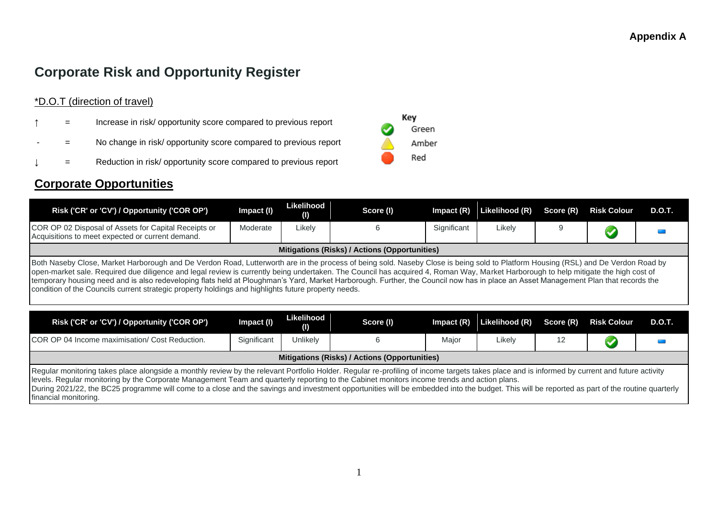# **Corporate Risk and Opportunity Register**

#### \*D.O.T (direction of travel)

- **The Increase in risk/ opportunity score compared to previous report**
- = No change in risk/ opportunity score compared to previous report
- = Reduction in risk/ opportunity score compared to previous report

#### **Corporate Opportunities**

| Risk ('CR' or 'CV') / Opportunity ('COR OP')                                                                                                                                                                                                                                                                                                                                                                                                                                                                                                                                                                                                                          | Impact (I)  | Likelihood<br>(1) | Score (I)                                     | $Im$ pact $(R)$ | Likelihood (R) | Score (R) | <b>Risk Colour</b> | <b>D.O.T.</b> |  |  |  |
|-----------------------------------------------------------------------------------------------------------------------------------------------------------------------------------------------------------------------------------------------------------------------------------------------------------------------------------------------------------------------------------------------------------------------------------------------------------------------------------------------------------------------------------------------------------------------------------------------------------------------------------------------------------------------|-------------|-------------------|-----------------------------------------------|-----------------|----------------|-----------|--------------------|---------------|--|--|--|
| COR OP 02 Disposal of Assets for Capital Receipts or<br>Acquisitions to meet expected or current demand.                                                                                                                                                                                                                                                                                                                                                                                                                                                                                                                                                              | Moderate    | Likely            | 6                                             | Significant     | Likely         | 9         |                    |               |  |  |  |
|                                                                                                                                                                                                                                                                                                                                                                                                                                                                                                                                                                                                                                                                       |             |                   | Mitigations (Risks) / Actions (Opportunities) |                 |                |           |                    |               |  |  |  |
| Both Naseby Close, Market Harborough and De Verdon Road, Lutterworth are in the process of being sold. Naseby Close is being sold to Platform Housing (RSL) and De Verdon Road by<br>open-market sale. Required due diligence and legal review is currently being undertaken. The Council has acquired 4, Roman Way, Market Harborough to help mitigate the high cost of<br>temporary housing need and is also redeveloping flats held at Ploughman's Yard, Market Harborough. Further, the Council now has in place an Asset Management Plan that records the<br>condition of the Councils current strategic property holdings and highlights future property needs. |             |                   |                                               |                 |                |           |                    |               |  |  |  |
| Risk ('CR' or 'CV') / Opportunity ('COR OP')                                                                                                                                                                                                                                                                                                                                                                                                                                                                                                                                                                                                                          | Impact (I)  | Likelihood<br>(1) | Score (I)                                     | $Im$ pact $(R)$ | Likelihood (R) | Score (R) | <b>Risk Colour</b> | <b>D.O.T.</b> |  |  |  |
| COR OP 04 Income maximisation/ Cost Reduction.                                                                                                                                                                                                                                                                                                                                                                                                                                                                                                                                                                                                                        | Significant | Unlikely          | 6                                             | Major           | Likely         | 12        |                    |               |  |  |  |
|                                                                                                                                                                                                                                                                                                                                                                                                                                                                                                                                                                                                                                                                       |             |                   | Mitigations (Risks) / Actions (Opportunities) |                 |                |           |                    |               |  |  |  |
| Regular monitoring takes place alongside a monthly review by the relevant Portfolio Holder. Regular re-profiling of income targets takes place and is informed by current and future activity<br>levels. Regular monitoring by the Corporate Management Team and quarterly reporting to the Cabinet monitors income trends and action plans.<br>During 2021/22, the BC25 programme will come to a close and the savings and investment opportunities will be embedded into the budget. This will be reported as part of the routine quarterly                                                                                                                         |             |                   |                                               |                 |                |           |                    |               |  |  |  |

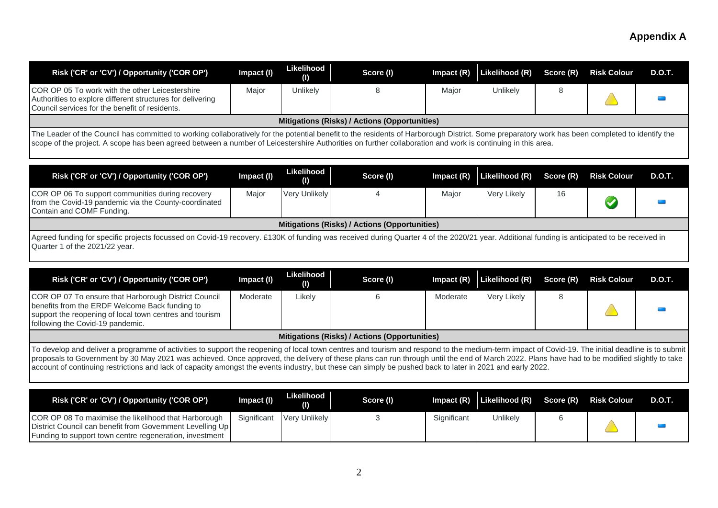|                                                                                                                                                                                                                                                                                                                                                                                                                                                                                                                                                              | Impact (I) | Likelihood<br>(I) | Score (I)                                            | Impact $(R)$ | Likelihood (R) | Score (R) | <b>Risk Colour</b>   | <b>D.O.T.</b> |
|--------------------------------------------------------------------------------------------------------------------------------------------------------------------------------------------------------------------------------------------------------------------------------------------------------------------------------------------------------------------------------------------------------------------------------------------------------------------------------------------------------------------------------------------------------------|------------|-------------------|------------------------------------------------------|--------------|----------------|-----------|----------------------|---------------|
| COR OP 05 To work with the other Leicestershire<br>Authorities to explore different structures for delivering<br>Council services for the benefit of residents.                                                                                                                                                                                                                                                                                                                                                                                              | Major      | Unlikely          | 8                                                    | Major        | Unlikely       | 8         |                      |               |
|                                                                                                                                                                                                                                                                                                                                                                                                                                                                                                                                                              |            |                   | Mitigations (Risks) / Actions (Opportunities)        |              |                |           |                      |               |
| The Leader of the Council has committed to working collaboratively for the potential benefit to the residents of Harborough District. Some preparatory work has been completed to identify the<br>scope of the project. A scope has been agreed between a number of Leicestershire Authorities on further collaboration and work is continuing in this area.                                                                                                                                                                                                 |            |                   |                                                      |              |                |           |                      |               |
| Risk ('CR' or 'CV') / Opportunity ('COR OP')                                                                                                                                                                                                                                                                                                                                                                                                                                                                                                                 | Impact (I) | Likelihood<br>(I) | Score (I)                                            | Impact $(R)$ | Likelihood (R) | Score (R) | <b>Risk Colour</b>   | <b>D.O.T.</b> |
| COR OP 06 To support communities during recovery<br>from the Covid-19 pandemic via the County-coordinated<br>Contain and COMF Funding.                                                                                                                                                                                                                                                                                                                                                                                                                       | Major      | Very Unlikely     | Δ                                                    | Major        | Very Likely    | 16        | $\blacktriangledown$ |               |
|                                                                                                                                                                                                                                                                                                                                                                                                                                                                                                                                                              |            |                   | <b>Mitigations (Risks) / Actions (Opportunities)</b> |              |                |           |                      |               |
| Agreed funding for specific projects focussed on Covid-19 recovery. £130K of funding was received during Quarter 4 of the 2020/21 year. Additional funding is anticipated to be received in<br>Quarter 1 of the 2021/22 year.<br>Risk ('CR' or 'CV') / Opportunity ('COR OP')                                                                                                                                                                                                                                                                                | Impact (I) | Likelihood<br>(I) | Score (I)                                            | Impact $(R)$ | Likelihood (R) | Score (R) | <b>Risk Colour</b>   | <b>D.O.T.</b> |
| COR OP 07 To ensure that Harborough District Council<br>benefits from the ERDF Welcome Back funding to                                                                                                                                                                                                                                                                                                                                                                                                                                                       | Moderate   | Likely            | 6                                                    | Moderate     | Very Likely    | 8         |                      |               |
| support the reopening of local town centres and tourism<br>following the Covid-19 pandemic.                                                                                                                                                                                                                                                                                                                                                                                                                                                                  |            |                   |                                                      |              |                |           |                      |               |
|                                                                                                                                                                                                                                                                                                                                                                                                                                                                                                                                                              |            |                   | <b>Mitigations (Risks) / Actions (Opportunities)</b> |              |                |           |                      |               |
| To develop and deliver a programme of activities to support the reopening of local town centres and tourism and respond to the medium-term impact of Covid-19. The initial deadline is to submit<br>proposals to Government by 30 May 2021 was achieved. Once approved, the delivery of these plans can run through until the end of March 2022. Plans have had to be modified slightly to take<br>account of continuing restrictions and lack of capacity amongst the events industry, but these can simply be pushed back to later in 2021 and early 2022. |            |                   |                                                      |              |                |           |                      |               |
| Risk ('CR' or 'CV') / Opportunity ('COR OP')                                                                                                                                                                                                                                                                                                                                                                                                                                                                                                                 | Impact (I) | Likelihood<br>(I) | Score (I)                                            | Impact $(R)$ | Likelihood (R) | Score (R) | <b>Risk Colour</b>   | <b>D.O.T.</b> |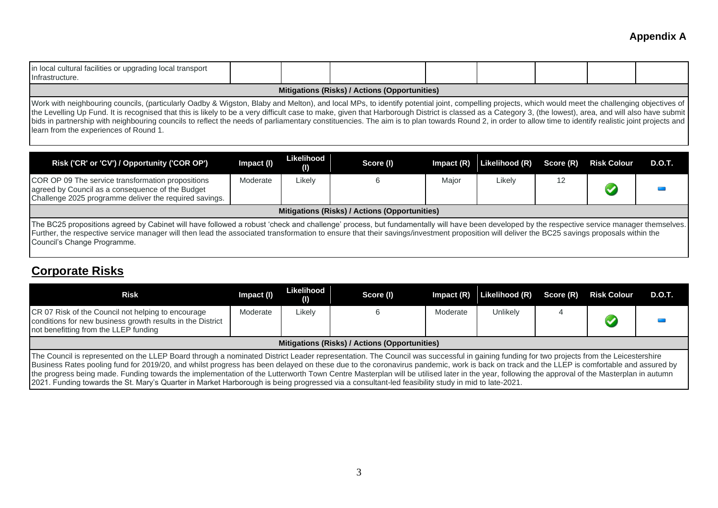| Infrastructure.<br>Mitigations (Risks) / Actions (Opportunities)<br>Work with neighbouring councils, (particularly Oadby & Wigston, Blaby and Melton), and local MPs, to identify potential joint, compelling projects, which would meet the challenging objectives of<br>the Levelling Up Fund. It is recognised that this is likely to be a very difficult case to make, given that Harborough District is classed as a Category 3, (the lowest), area, and will also have submit |            |                   |           |              |                |           |                    |               |  |  |
|-------------------------------------------------------------------------------------------------------------------------------------------------------------------------------------------------------------------------------------------------------------------------------------------------------------------------------------------------------------------------------------------------------------------------------------------------------------------------------------|------------|-------------------|-----------|--------------|----------------|-----------|--------------------|---------------|--|--|
| bids in partnership with neighbouring councils to reflect the needs of parliamentary constituencies. The aim is to plan towards Round 2, in order to allow time to identify realistic joint projects and<br>learn from the experiences of Round 1.                                                                                                                                                                                                                                  |            |                   |           |              |                |           |                    |               |  |  |
| Risk ('CR' or 'CV') / Opportunity ('COR OP')                                                                                                                                                                                                                                                                                                                                                                                                                                        | Impact (I) | Likelihood<br>(1) | Score (I) | Impact $(R)$ | Likelihood (R) | Score (R) | <b>Risk Colour</b> | <b>D.O.T.</b> |  |  |
|                                                                                                                                                                                                                                                                                                                                                                                                                                                                                     |            | .                 |           | $\cdots$     | .              | $\sim$    |                    |               |  |  |

| COR OP 09 The service transformation propositions<br>agreed by Council as a consequence of the Budget<br>Challenge 2025 programme deliver the required savings.                                                                                                                                                                                                                                                           | Moderate | Likelv |  | Major | Likely | 12 |  |  |  |  |
|---------------------------------------------------------------------------------------------------------------------------------------------------------------------------------------------------------------------------------------------------------------------------------------------------------------------------------------------------------------------------------------------------------------------------|----------|--------|--|-------|--------|----|--|--|--|--|
| Mitigations (Risks) / Actions (Opportunities)                                                                                                                                                                                                                                                                                                                                                                             |          |        |  |       |        |    |  |  |  |  |
| The BC25 propositions agreed by Cabinet will have followed a robust 'check and challenge' process, but fundamentally will have been developed by the respective service manager themselves.<br>Further, the respective service manager will then lead the associated transformation to ensure that their savings/investment proposition will deliver the BC25 savings proposals within the<br>Council's Change Programme. |          |        |  |       |        |    |  |  |  |  |

## **Corporate Risks**

| Risk                                                                                                                                                                                                                                                                                                                                                                                                                                                                                                                                                                                                                                                                                                                                     | Impact (I) | Likelihood<br>(1) | Score (I)                                     | $Im$ pact $(R)$ | Likelihood (R) | Score (R) | <b>Risk Colour</b> | <b>D.O.T.</b> |  |
|------------------------------------------------------------------------------------------------------------------------------------------------------------------------------------------------------------------------------------------------------------------------------------------------------------------------------------------------------------------------------------------------------------------------------------------------------------------------------------------------------------------------------------------------------------------------------------------------------------------------------------------------------------------------------------------------------------------------------------------|------------|-------------------|-----------------------------------------------|-----------------|----------------|-----------|--------------------|---------------|--|
| CR 07 Risk of the Council not helping to encourage<br>conditions for new business growth results in the District<br>not benefitting from the LLEP funding                                                                                                                                                                                                                                                                                                                                                                                                                                                                                                                                                                                | Moderate   | ∟ikelv            |                                               | Moderate        | Unlikely       |           |                    |               |  |
|                                                                                                                                                                                                                                                                                                                                                                                                                                                                                                                                                                                                                                                                                                                                          |            |                   | Mitigations (Risks) / Actions (Opportunities) |                 |                |           |                    |               |  |
| The Council is represented on the LLEP Board through a nominated District Leader representation. The Council was successful in gaining funding for two projects from the Leicestershire<br>Business Rates pooling fund for 2019/20, and whilst progress has been delayed on these due to the coronavirus pandemic, work is back on track and the LLEP is comfortable and assured by<br>the progress being made. Funding towards the implementation of the Lutterworth Town Centre Masterplan will be utilised later in the year, following the approval of the Masterplan in autumn<br>2021. Funding towards the St. Mary's Quarter in Market Harborough is being progressed via a consultant-led feasibility study in mid to late-2021. |            |                   |                                               |                 |                |           |                    |               |  |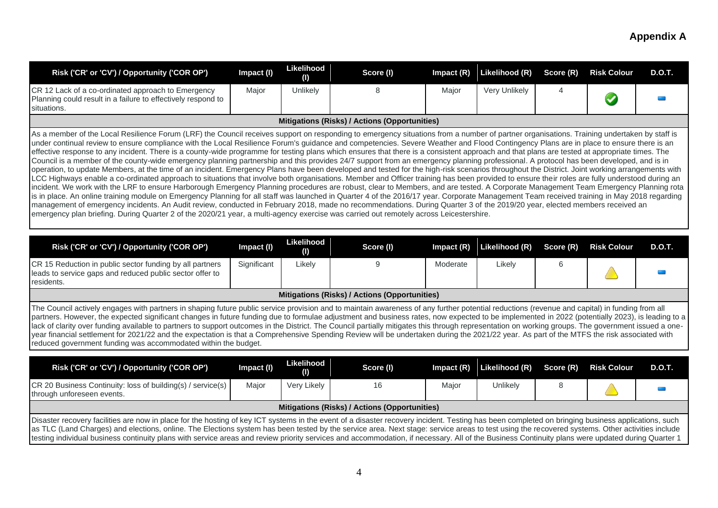| Risk ('CR' or 'CV') / Opportunity ('COR OP')                                                                                                                                                                                                                                                                                                                                                                                                                                                                                                                                                                                                                                                                                                                                                                                                                                                                                                                                                                                                                                                                                                                                                                                                                                                                                                                                                                                                                                                                                                                                                                                                                                                                                                                                                                                                                                                   | Impact (I) | Likelihood<br>(I) | Score (I)                                     | $Im$ pact $(R)$ | Likelihood (R) | Score (R) | <b>Risk Colour</b> | D.O.T. |
|------------------------------------------------------------------------------------------------------------------------------------------------------------------------------------------------------------------------------------------------------------------------------------------------------------------------------------------------------------------------------------------------------------------------------------------------------------------------------------------------------------------------------------------------------------------------------------------------------------------------------------------------------------------------------------------------------------------------------------------------------------------------------------------------------------------------------------------------------------------------------------------------------------------------------------------------------------------------------------------------------------------------------------------------------------------------------------------------------------------------------------------------------------------------------------------------------------------------------------------------------------------------------------------------------------------------------------------------------------------------------------------------------------------------------------------------------------------------------------------------------------------------------------------------------------------------------------------------------------------------------------------------------------------------------------------------------------------------------------------------------------------------------------------------------------------------------------------------------------------------------------------------|------------|-------------------|-----------------------------------------------|-----------------|----------------|-----------|--------------------|--------|
| CR 12 Lack of a co-ordinated approach to Emergency<br>Planning could result in a failure to effectively respond to<br>situations.                                                                                                                                                                                                                                                                                                                                                                                                                                                                                                                                                                                                                                                                                                                                                                                                                                                                                                                                                                                                                                                                                                                                                                                                                                                                                                                                                                                                                                                                                                                                                                                                                                                                                                                                                              | Major      | Unlikely          |                                               | Major           | Very Unlikely  |           |                    |        |
|                                                                                                                                                                                                                                                                                                                                                                                                                                                                                                                                                                                                                                                                                                                                                                                                                                                                                                                                                                                                                                                                                                                                                                                                                                                                                                                                                                                                                                                                                                                                                                                                                                                                                                                                                                                                                                                                                                |            |                   | Mitigations (Risks) / Actions (Opportunities) |                 |                |           |                    |        |
| As a member of the Local Resilience Forum (LRF) the Council receives support on responding to emergency situations from a number of partner organisations. Training undertaken by staff is<br>under continual review to ensure compliance with the Local Resilience Forum's guidance and competencies. Severe Weather and Flood Contingency Plans are in place to ensure there is an<br>effective response to any incident. There is a county-wide programme for testing plans which ensures that there is a consistent approach and that plans are tested at appropriate times. The<br>Council is a member of the county-wide emergency planning partnership and this provides 24/7 support from an emergency planning professional. A protocol has been developed, and is in<br>operation, to update Members, at the time of an incident. Emergency Plans have been developed and tested for the high-risk scenarios throughout the District. Joint working arrangements with<br>LCC Highways enable a co-ordinated approach to situations that involve both organisations. Member and Officer training has been provided to ensure their roles are fully understood during an<br>incident. We work with the LRF to ensure Harborough Emergency Planning procedures are robust, clear to Members, and are tested. A Corporate Management Team Emergency Planning rota<br>is in place. An online training module on Emergency Planning for all staff was launched in Quarter 4 of the 2016/17 year. Corporate Management Team received training in May 2018 regarding<br>management of emergency incidents. An Audit review, conducted in February 2018, made no recommendations. During Quarter 3 of the 2019/20 year, elected members received an<br>emergency plan briefing. During Quarter 2 of the 2020/21 year, a multi-agency exercise was carried out remotely across Leicestershire. |            |                   |                                               |                 |                |           |                    |        |

| Risk ('CR' or 'CV') / Opportunity ('COR OP')                                                                                       | Impact (I)  | Likelihood<br>(1) | Score (I) | Impact $(R)$ | Likelihood (R) Score (R) |  | <b>Risk Colour</b> | <b>D.O.T.</b> |  |
|------------------------------------------------------------------------------------------------------------------------------------|-------------|-------------------|-----------|--------------|--------------------------|--|--------------------|---------------|--|
| CR 15 Reduction in public sector funding by all partners<br>leads to service gaps and reduced public sector offer to<br>residents. | Significant | ∟ikely            |           | Moderate     | ∟ikelv                   |  |                    |               |  |
| Mitigations (Risks) / Actions (Opportunities)                                                                                      |             |                   |           |              |                          |  |                    |               |  |

The Council actively engages with partners in shaping future public service provision and to maintain awareness of any further potential reductions (revenue and capital) in funding from all partners. However, the expected significant changes in future funding due to formulae adjustment and business rates, now expected to be implemented in 2022 (potentially 2023), is leading to a lack of clarity over funding available to partners to support outcomes in the District. The Council partially mitigates this through representation on working groups. The government issued a oneyear financial settlement for 2021/22 and the expectation is that a Comprehensive Spending Review will be undertaken during the 2021/22 year. As part of the MTFS the risk associated with reduced government funding was accommodated within the budget.

| Risk ('CR' or 'CV') / Opportunity ('COR OP')                                                                                                                                                                                                                                                                                                                                                                                                                                                                                                                                                            | Impact (I)                                    | Likelihood<br>(1) | Score (I) | Impact $(R)$ | Likelihood (R) | Score (R) | <b>Risk Colour</b> | D.O.T. |  |  |
|---------------------------------------------------------------------------------------------------------------------------------------------------------------------------------------------------------------------------------------------------------------------------------------------------------------------------------------------------------------------------------------------------------------------------------------------------------------------------------------------------------------------------------------------------------------------------------------------------------|-----------------------------------------------|-------------------|-----------|--------------|----------------|-----------|--------------------|--------|--|--|
| CR 20 Business Continuity: loss of building(s) / service(s)  <br>through unforeseen events.                                                                                                                                                                                                                                                                                                                                                                                                                                                                                                             | Maior                                         | Very Likely       |           | Major        | Unlikely       |           |                    |        |  |  |
|                                                                                                                                                                                                                                                                                                                                                                                                                                                                                                                                                                                                         | Mitigations (Risks) / Actions (Opportunities) |                   |           |              |                |           |                    |        |  |  |
| Disaster recovery facilities are now in place for the hosting of key ICT systems in the event of a disaster recovery incident. Testing has been completed on bringing business applications, such<br>as TLC (Land Charges) and elections, online. The Elections system has been tested by the service area. Next stage: service areas to test using the recovered systems. Other activities include<br>testing individual business continuity plans with service areas and review priority services and accommodation, if necessary. All of the Business Continuity plans were updated during Quarter 1 |                                               |                   |           |              |                |           |                    |        |  |  |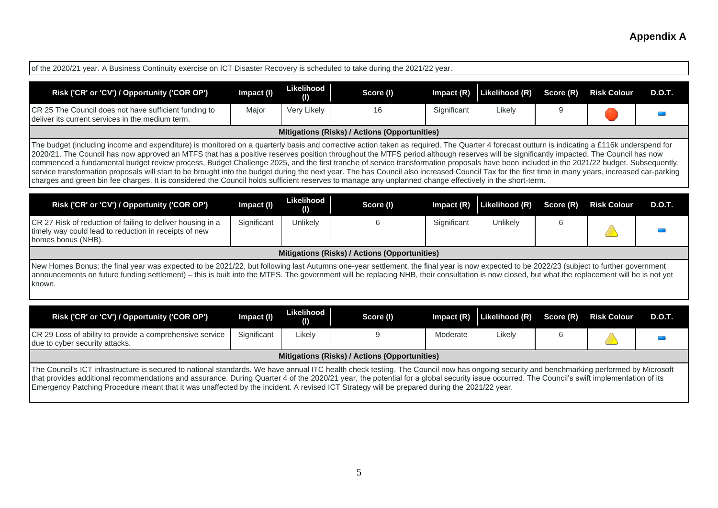| of the 2020/21 year. A Business Continuity exercise on ICT Disaster Recovery is scheduled to take during the 2021/22 year.                                                                                                                                                                                                                                                                                                                                                                                                                                                                                                                                                                                                                                                                                                                                                                                                                       |             |                          |                                               |              |                |           |                    |               |  |
|--------------------------------------------------------------------------------------------------------------------------------------------------------------------------------------------------------------------------------------------------------------------------------------------------------------------------------------------------------------------------------------------------------------------------------------------------------------------------------------------------------------------------------------------------------------------------------------------------------------------------------------------------------------------------------------------------------------------------------------------------------------------------------------------------------------------------------------------------------------------------------------------------------------------------------------------------|-------------|--------------------------|-----------------------------------------------|--------------|----------------|-----------|--------------------|---------------|--|
| Risk ('CR' or 'CV') / Opportunity ('COR OP')                                                                                                                                                                                                                                                                                                                                                                                                                                                                                                                                                                                                                                                                                                                                                                                                                                                                                                     | Impact (I)  | Likelihood<br>(1)        | Score (I)                                     | Impact $(R)$ | Likelihood (R) | Score (R) | <b>Risk Colour</b> | <b>D.O.T.</b> |  |
| CR 25 The Council does not have sufficient funding to<br>deliver its current services in the medium term.                                                                                                                                                                                                                                                                                                                                                                                                                                                                                                                                                                                                                                                                                                                                                                                                                                        | Major       | Very Likely              | 16                                            | Significant  | Likely         | 9         |                    |               |  |
| <b>Mitigations (Risks) / Actions (Opportunities)</b>                                                                                                                                                                                                                                                                                                                                                                                                                                                                                                                                                                                                                                                                                                                                                                                                                                                                                             |             |                          |                                               |              |                |           |                    |               |  |
| The budget (including income and expenditure) is monitored on a quarterly basis and corrective action taken as required. The Quarter 4 forecast outturn is indicating a £116k underspend for<br>2020/21. The Council has now approved an MTFS that has a positive reserves position throughout the MTFS period although reserves will be significantly impacted. The Council has now<br>commenced a fundamental budget review process, Budget Challenge 2025, and the first tranche of service transformation proposals have been included in the 2021/22 budget. Subsequently,<br>service transformation proposals will start to be brought into the budget during the next year. The has Council also increased Council Tax for the first time in many years, increased car-parking<br>charges and green bin fee charges. It is considered the Council holds sufficient reserves to manage any unplanned change effectively in the short-term. |             |                          |                                               |              |                |           |                    |               |  |
| Risk ('CR' or 'CV') / Opportunity ('COR OP')                                                                                                                                                                                                                                                                                                                                                                                                                                                                                                                                                                                                                                                                                                                                                                                                                                                                                                     | Impact (I)  | <b>Likelihood</b><br>(1) | Score (I)                                     | Impact $(R)$ | Likelihood (R) | Score (R) | <b>Risk Colour</b> | <b>D.O.T.</b> |  |
| CR 27 Risk of reduction of failing to deliver housing in a<br>timely way could lead to reduction in receipts of new<br>homes bonus (NHB).                                                                                                                                                                                                                                                                                                                                                                                                                                                                                                                                                                                                                                                                                                                                                                                                        | Significant | Unlikely                 | 6                                             | Significant  | Unlikely       | 6         |                    |               |  |
|                                                                                                                                                                                                                                                                                                                                                                                                                                                                                                                                                                                                                                                                                                                                                                                                                                                                                                                                                  |             |                          | Mitigations (Risks) / Actions (Opportunities) |              |                |           |                    |               |  |
| New Homes Bonus: the final year was expected to be 2021/22, but following last Autumns one-year settlement, the final year is now expected to be 2022/23 (subject to further government<br>announcements on future funding settlement) - this is built into the MTFS. The government will be replacing NHB, their consultation is now closed, but what the replacement will be is not yet<br>known.<br>Risk ('CR' or 'CV') / Opportunity ('COR OP')                                                                                                                                                                                                                                                                                                                                                                                                                                                                                              | Impact (I)  | Likelihood               | Score (I)                                     | Impact (R)   | Likelihood (R) | Score (R) | <b>Risk Colour</b> | <b>D.O.T.</b> |  |
|                                                                                                                                                                                                                                                                                                                                                                                                                                                                                                                                                                                                                                                                                                                                                                                                                                                                                                                                                  |             | (1)                      |                                               |              |                |           |                    |               |  |
| CR 29 Loss of ability to provide a comprehensive service<br>due to cyber security attacks.                                                                                                                                                                                                                                                                                                                                                                                                                                                                                                                                                                                                                                                                                                                                                                                                                                                       | Significant | Likely                   | 9                                             | Moderate     | Likely         | 6         |                    |               |  |
|                                                                                                                                                                                                                                                                                                                                                                                                                                                                                                                                                                                                                                                                                                                                                                                                                                                                                                                                                  |             |                          | Mitigations (Risks) / Actions (Opportunities) |              |                |           |                    |               |  |
| The Council's ICT infrastructure is secured to national standards. We have annual ITC health check testing. The Council now has ongoing security and benchmarking performed by Microsoft<br>that provides additional recommendations and assurance. During Quarter 4 of the 2020/21 year, the potential for a global security issue occurred. The Council's swift implementation of its<br>Emergency Patching Procedure meant that it was unaffected by the incident. A revised ICT Strategy will be prepared during the 2021/22 year.                                                                                                                                                                                                                                                                                                                                                                                                           |             |                          |                                               |              |                |           |                    |               |  |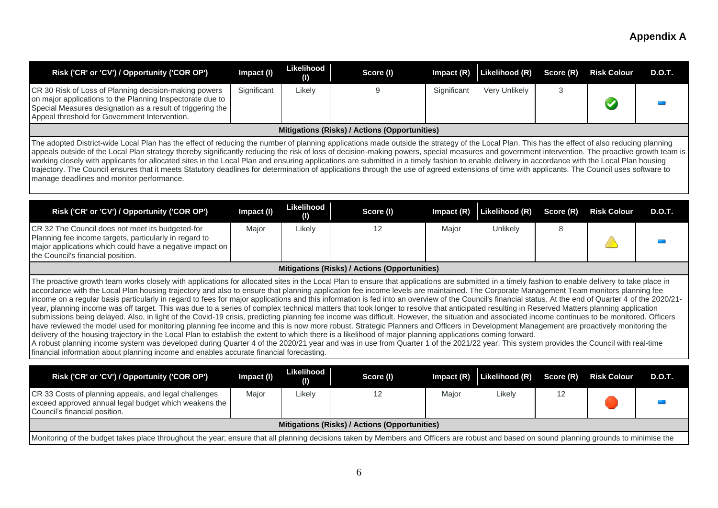| Risk ('CR' or 'CV') / Opportunity ('COR OP')                                                                                                                                                                                                                                                                                                                                                                                                                                                                                                                                                                                                                                                                                                                                                                                                                                                                                                                                                                                                                                                                                                                                                                                                                                                                                                                                                                                                                                                                                                                                                                                                       | Impact (I)  | Likelihood<br>(1) | Score (I)                                     | Impact (R)  | Likelihood (R) | Score (R) | <b>Risk Colour</b> | <b>D.O.T.</b> |
|----------------------------------------------------------------------------------------------------------------------------------------------------------------------------------------------------------------------------------------------------------------------------------------------------------------------------------------------------------------------------------------------------------------------------------------------------------------------------------------------------------------------------------------------------------------------------------------------------------------------------------------------------------------------------------------------------------------------------------------------------------------------------------------------------------------------------------------------------------------------------------------------------------------------------------------------------------------------------------------------------------------------------------------------------------------------------------------------------------------------------------------------------------------------------------------------------------------------------------------------------------------------------------------------------------------------------------------------------------------------------------------------------------------------------------------------------------------------------------------------------------------------------------------------------------------------------------------------------------------------------------------------------|-------------|-------------------|-----------------------------------------------|-------------|----------------|-----------|--------------------|---------------|
| CR 30 Risk of Loss of Planning decision-making powers<br>on major applications to the Planning Inspectorate due to<br>Special Measures designation as a result of triggering the<br>Appeal threshold for Government Intervention.                                                                                                                                                                                                                                                                                                                                                                                                                                                                                                                                                                                                                                                                                                                                                                                                                                                                                                                                                                                                                                                                                                                                                                                                                                                                                                                                                                                                                  | Significant | Likely            | 9                                             | Significant | Very Unlikely  | 3         |                    |               |
|                                                                                                                                                                                                                                                                                                                                                                                                                                                                                                                                                                                                                                                                                                                                                                                                                                                                                                                                                                                                                                                                                                                                                                                                                                                                                                                                                                                                                                                                                                                                                                                                                                                    |             |                   | Mitigations (Risks) / Actions (Opportunities) |             |                |           |                    |               |
| The adopted District-wide Local Plan has the effect of reducing the number of planning applications made outside the strategy of the Local Plan. This has the effect of also reducing planning<br>appeals outside of the Local Plan strategy thereby significantly reducing the risk of loss of decision-making powers, special measures and government intervention. The proactive growth team is<br>working closely with applicants for allocated sites in the Local Plan and ensuring applications are submitted in a timely fashion to enable delivery in accordance with the Local Plan housing<br>trajectory. The Council ensures that it meets Statutory deadlines for determination of applications through the use of agreed extensions of time with applicants. The Council uses software to<br>manage deadlines and monitor performance.                                                                                                                                                                                                                                                                                                                                                                                                                                                                                                                                                                                                                                                                                                                                                                                                |             |                   |                                               |             |                |           |                    |               |
| Risk ('CR' or 'CV') / Opportunity ('COR OP')                                                                                                                                                                                                                                                                                                                                                                                                                                                                                                                                                                                                                                                                                                                                                                                                                                                                                                                                                                                                                                                                                                                                                                                                                                                                                                                                                                                                                                                                                                                                                                                                       | Impact (I)  | Likelihood<br>(1) | Score (I)                                     | Impact (R)  | Likelihood (R) | Score (R) | <b>Risk Colour</b> | <b>D.O.T.</b> |
| CR 32 The Council does not meet its budgeted-for<br>Planning fee income targets, particularly in regard to<br>major applications which could have a negative impact on<br>the Council's financial position.                                                                                                                                                                                                                                                                                                                                                                                                                                                                                                                                                                                                                                                                                                                                                                                                                                                                                                                                                                                                                                                                                                                                                                                                                                                                                                                                                                                                                                        | Major       | Likely            | 12                                            | Major       | Unlikely       | 8         |                    |               |
|                                                                                                                                                                                                                                                                                                                                                                                                                                                                                                                                                                                                                                                                                                                                                                                                                                                                                                                                                                                                                                                                                                                                                                                                                                                                                                                                                                                                                                                                                                                                                                                                                                                    |             |                   | Mitigations (Risks) / Actions (Opportunities) |             |                |           |                    |               |
| The proactive growth team works closely with applications for allocated sites in the Local Plan to ensure that applications are submitted in a timely fashion to enable delivery to take place in<br>accordance with the Local Plan housing trajectory and also to ensure that planning application fee income levels are maintained. The Corporate Management Team monitors planning fee<br>income on a regular basis particularly in regard to fees for major applications and this information is fed into an overview of the Council's financial status. At the end of Quarter 4 of the 2020/21-<br>year, planning income was off target. This was due to a series of complex technical matters that took longer to resolve that anticipated resulting in Reserved Matters planning application<br>submissions being delayed. Also, in light of the Covid-19 crisis, predicting planning fee income was difficult. However, the situation and associated income continues to be monitored. Officers<br>have reviewed the model used for monitoring planning fee income and this is now more robust. Strategic Planners and Officers in Development Management are proactively monitoring the<br>delivery of the housing trajectory in the Local Plan to establish the extent to which there is a likelihood of major planning applications coming forward.<br>A robust planning income system was developed during Quarter 4 of the 2020/21 year and was in use from Quarter 1 of the 2021/22 year. This system provides the Council with real-time<br>financial information about planning income and enables accurate financial forecasting. |             |                   |                                               |             |                |           |                    |               |
| Risk ('CR' or 'CV') / Opportunity ('COR OP')                                                                                                                                                                                                                                                                                                                                                                                                                                                                                                                                                                                                                                                                                                                                                                                                                                                                                                                                                                                                                                                                                                                                                                                                                                                                                                                                                                                                                                                                                                                                                                                                       | Impact (I)  | Likelihood        | Score (I)                                     | Impact (R)  | Likelihood (R) | Score (R) | <b>Risk Colour</b> | <b>D.O.T.</b> |
| CR 33 Costs of planning appeals, and legal challenges<br>exceed approved annual legal budget which weakens the<br>Council's financial position.                                                                                                                                                                                                                                                                                                                                                                                                                                                                                                                                                                                                                                                                                                                                                                                                                                                                                                                                                                                                                                                                                                                                                                                                                                                                                                                                                                                                                                                                                                    | Major       | (1)<br>Likely     | 12                                            | Major       | Likely         | 12        |                    |               |
|                                                                                                                                                                                                                                                                                                                                                                                                                                                                                                                                                                                                                                                                                                                                                                                                                                                                                                                                                                                                                                                                                                                                                                                                                                                                                                                                                                                                                                                                                                                                                                                                                                                    |             |                   | Mitigations (Risks) / Actions (Opportunities) |             |                |           |                    |               |
| Monitoring of the budget takes place throughout the year; ensure that all planning decisions taken by Members and Officers are robust and based on sound planning grounds to minimise the                                                                                                                                                                                                                                                                                                                                                                                                                                                                                                                                                                                                                                                                                                                                                                                                                                                                                                                                                                                                                                                                                                                                                                                                                                                                                                                                                                                                                                                          |             |                   |                                               |             |                |           |                    |               |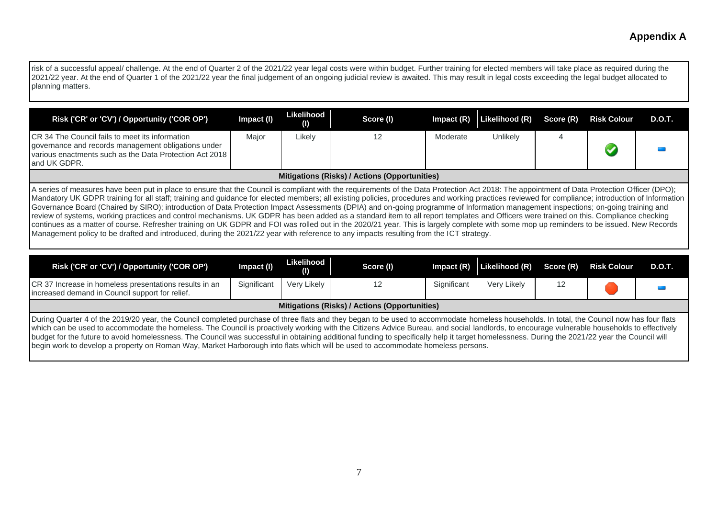Irisk of a successful appeal/ challenge. At the end of Quarter 2 of the 2021/22 year legal costs were within budget. Further training for elected members will take place as required during the 2021/22 year. At the end of Quarter 1 of the 2021/22 year the final judgement of an ongoing judicial review is awaited. This may result in legal costs exceeding the legal budget allocated to planning matters.

| Risk ('CR' or 'CV') / Opportunity ('COR OP')                                                                                                                                             | Impact (I) | Likelihood<br>(1) | Score (I) |          | Impact $(R)$ Likelihood $(R)$ Score $(R)$ |  | <b>Risk Colour</b> | D.O.T. |
|------------------------------------------------------------------------------------------------------------------------------------------------------------------------------------------|------------|-------------------|-----------|----------|-------------------------------------------|--|--------------------|--------|
| <b>CR</b> 34 The Council fails to meet its information<br>governance and records management obligations under<br>various enactments such as the Data Protection Act 2018<br>and UK GDPR. | Maior      | Likely            |           | Moderate | Unlikely                                  |  |                    |        |
| Mitigations (Risks) / Actions (Opportunities)                                                                                                                                            |            |                   |           |          |                                           |  |                    |        |

A series of measures have been put in place to ensure that the Council is compliant with the requirements of the Data Protection Act 2018: The appointment of Data Protection Officer (DPO); Mandatory UK GDPR training for all staff; training and guidance for elected members; all existing policies, procedures and working practices reviewed for compliance; introduction of Information Governance Board (Chaired by SIRO); introduction of Data Protection Impact Assessments (DPIA) and on-going programme of Information management inspections; on-going training and review of systems, working practices and control mechanisms. UK GDPR has been added as a standard item to all report templates and Officers were trained on this. Compliance checking continues as a matter of course. Refresher training on UK GDPR and FOI was rolled out in the 2020/21 year. This is largely complete with some mop up reminders to be issued. New Records Management policy to be drafted and introduced, during the 2021/22 year with reference to any impacts resulting from the ICT strategy.

| Risk ('CR' or 'CV') / Opportunity ('COR OP')                                                              | Impact (I)                                                                                                                                                                                                                                                                                                                                                                                                                                                                                                                                                                                | Likelihood<br>(1) | Score (I) | $Im$ pact $(R)$ | Likelihood (R) | Score (R) | <b>Risk Colour</b> | <b>D.O.T.</b> |  |  |
|-----------------------------------------------------------------------------------------------------------|-------------------------------------------------------------------------------------------------------------------------------------------------------------------------------------------------------------------------------------------------------------------------------------------------------------------------------------------------------------------------------------------------------------------------------------------------------------------------------------------------------------------------------------------------------------------------------------------|-------------------|-----------|-----------------|----------------|-----------|--------------------|---------------|--|--|
| CR 37 Increase in homeless presentations results in an<br>increased demand in Council support for relief. | Significant                                                                                                                                                                                                                                                                                                                                                                                                                                                                                                                                                                               | Very Likely       |           | Significant     | Very Likely    |           |                    |               |  |  |
|                                                                                                           | Mitigations (Risks) / Actions (Opportunities)                                                                                                                                                                                                                                                                                                                                                                                                                                                                                                                                             |                   |           |                 |                |           |                    |               |  |  |
|                                                                                                           | During Quarter 4 of the 2019/20 year, the Council completed purchase of three flats and they began to be used to accommodate homeless households. In total, the Council now has four flats<br>which can be used to accommodate the homeless. The Council is proactively working with the Citizens Advice Bureau, and social landlords, to encourage vulnerable households to effectively<br>budget for the future to avoid homelessness. The Council was successful in obtaining additional funding to specifically help it target homelessness. During the 2021/22 year the Council will |                   |           |                 |                |           |                    |               |  |  |

begin work to develop a property on Roman Way, Market Harborough into flats which will be used to accommodate homeless persons.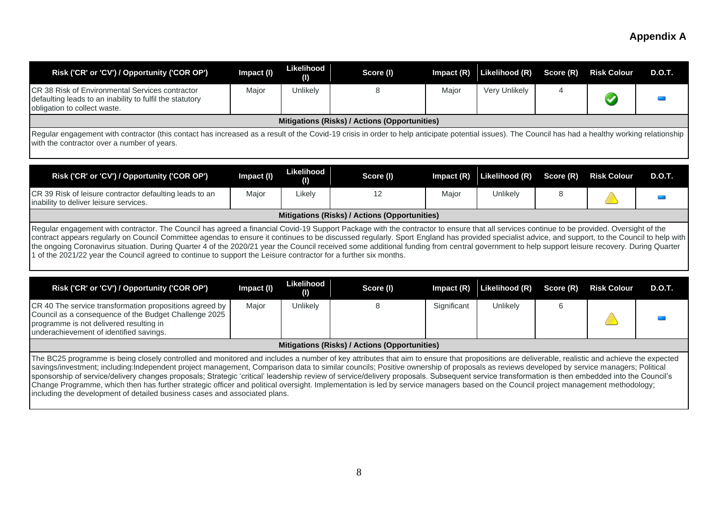| Risk ('CR' or 'CV') / Opportunity ('COR OP')                                                                                                                                                                                                                                                                                                                                                                                                                                                                                                                                                                                                                                                                                                                                                                                                                  | Impact (I) | Likelihood<br>(I)                | Score (I)                                            | Impact $(R)$ | Likelihood (R) | Score (R)      | <b>Risk Colour</b> | <b>D.O.T.</b> |  |
|---------------------------------------------------------------------------------------------------------------------------------------------------------------------------------------------------------------------------------------------------------------------------------------------------------------------------------------------------------------------------------------------------------------------------------------------------------------------------------------------------------------------------------------------------------------------------------------------------------------------------------------------------------------------------------------------------------------------------------------------------------------------------------------------------------------------------------------------------------------|------------|----------------------------------|------------------------------------------------------|--------------|----------------|----------------|--------------------|---------------|--|
| CR 38 Risk of Environmental Services contractor<br>defaulting leads to an inability to fulfil the statutory<br>obligation to collect waste.                                                                                                                                                                                                                                                                                                                                                                                                                                                                                                                                                                                                                                                                                                                   | Major      | Unlikely                         | 8                                                    | Major        | Very Unlikely  | $\overline{4}$ |                    |               |  |
|                                                                                                                                                                                                                                                                                                                                                                                                                                                                                                                                                                                                                                                                                                                                                                                                                                                               |            |                                  | <b>Mitigations (Risks) / Actions (Opportunities)</b> |              |                |                |                    |               |  |
| Regular engagement with contractor (this contact has increased as a result of the Covid-19 crisis in order to help anticipate potential issues). The Council has had a healthy working relationship<br>with the contractor over a number of years.                                                                                                                                                                                                                                                                                                                                                                                                                                                                                                                                                                                                            |            |                                  |                                                      |              |                |                |                    |               |  |
| Risk ('CR' or 'CV') / Opportunity ('COR OP')                                                                                                                                                                                                                                                                                                                                                                                                                                                                                                                                                                                                                                                                                                                                                                                                                  | Impact (I) | Likelihood<br>(I)                | Score (I)                                            | Impact $(R)$ | Likelihood (R) | Score (R)      | <b>Risk Colour</b> | <b>D.O.T.</b> |  |
| CR 39 Risk of leisure contractor defaulting leads to an<br>inability to deliver leisure services.                                                                                                                                                                                                                                                                                                                                                                                                                                                                                                                                                                                                                                                                                                                                                             | Major      | Likely                           | 12                                                   | Major        | Unlikely       | 8              |                    |               |  |
|                                                                                                                                                                                                                                                                                                                                                                                                                                                                                                                                                                                                                                                                                                                                                                                                                                                               |            |                                  | Mitigations (Risks) / Actions (Opportunities)        |              |                |                |                    |               |  |
| Regular engagement with contractor. The Council has agreed a financial Covid-19 Support Package with the contractor to ensure that all services continue to be provided. Oversight of the<br>contract appears regularly on Council Committee agendas to ensure it continues to be discussed regularly. Sport England has provided specialist advice, and support, to the Council to help with<br>the ongoing Coronavirus situation. During Quarter 4 of the 2020/21 year the Council received some additional funding from central government to help support leisure recovery. During Quarter<br>1 of the 2021/22 year the Council agreed to continue to support the Leisure contractor for a further six months.                                                                                                                                            |            |                                  |                                                      |              |                |                |                    |               |  |
| Risk ('CR' or 'CV') / Opportunity ('COR OP')                                                                                                                                                                                                                                                                                                                                                                                                                                                                                                                                                                                                                                                                                                                                                                                                                  | Impact (I) | Likelihood<br>$\left( 0 \right)$ | Score (I)                                            | Impact $(R)$ | Likelihood (R) | Score (R)      | <b>Risk Colour</b> | <b>D.O.T.</b> |  |
| CR 40 The service transformation propositions agreed by<br>Council as a consequence of the Budget Challenge 2025<br>programme is not delivered resulting in<br>underachievement of identified savings.                                                                                                                                                                                                                                                                                                                                                                                                                                                                                                                                                                                                                                                        | Major      | Unlikely                         | 8                                                    | Significant  | Unlikely       | 6              |                    |               |  |
| Mitigations (Risks) / Actions (Opportunities)                                                                                                                                                                                                                                                                                                                                                                                                                                                                                                                                                                                                                                                                                                                                                                                                                 |            |                                  |                                                      |              |                |                |                    |               |  |
| The BC25 programme is being closely controlled and monitored and includes a number of key attributes that aim to ensure that propositions are deliverable, realistic and achieve the expected<br>savings/investment; including:Independent project management, Comparison data to similar councils; Positive ownership of proposals as reviews developed by service managers; Political<br>sponsorship of service/delivery changes proposals; Strategic 'critical' leadership review of service/delivery proposals. Subsequent service transformation is then embedded into the Council's<br>Change Programme, which then has further strategic officer and political oversight. Implementation is led by service managers based on the Council project management methodology;<br>including the development of detailed business cases and associated plans. |            |                                  |                                                      |              |                |                |                    |               |  |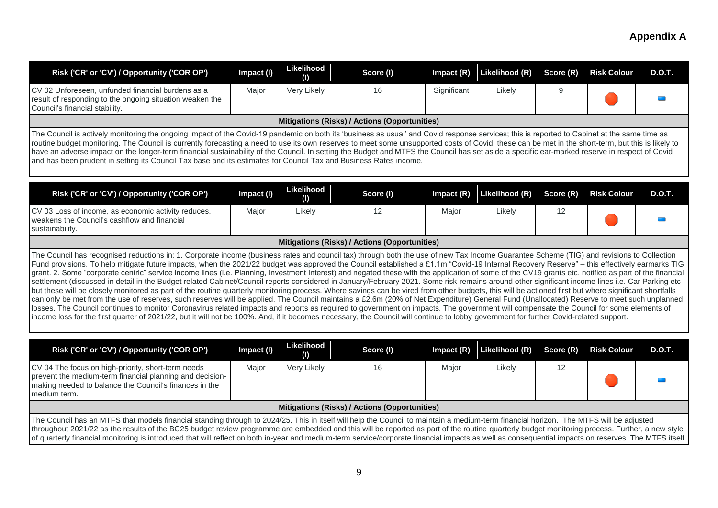| Risk ('CR' or 'CV') / Opportunity ('COR OP')                                                                                                                                                                                                                                                                                                                                                                                                                                                                                                                                                                                                                                                                                                                                                                                                                                                                                                                                                                                                                                                                                                                                                                                                                                                                                                                                                                                                                                                                                                                                                | Impact (I) | Likelihood<br>(1)                    | Score (I)                                     | Impact $(R)$ | Likelihood (R) | Score (R) | <b>Risk Colour</b> | <b>D.O.T.</b> |  |
|---------------------------------------------------------------------------------------------------------------------------------------------------------------------------------------------------------------------------------------------------------------------------------------------------------------------------------------------------------------------------------------------------------------------------------------------------------------------------------------------------------------------------------------------------------------------------------------------------------------------------------------------------------------------------------------------------------------------------------------------------------------------------------------------------------------------------------------------------------------------------------------------------------------------------------------------------------------------------------------------------------------------------------------------------------------------------------------------------------------------------------------------------------------------------------------------------------------------------------------------------------------------------------------------------------------------------------------------------------------------------------------------------------------------------------------------------------------------------------------------------------------------------------------------------------------------------------------------|------------|--------------------------------------|-----------------------------------------------|--------------|----------------|-----------|--------------------|---------------|--|
| CV 02 Unforeseen, unfunded financial burdens as a<br>result of responding to the ongoing situation weaken the<br>Council's financial stability.                                                                                                                                                                                                                                                                                                                                                                                                                                                                                                                                                                                                                                                                                                                                                                                                                                                                                                                                                                                                                                                                                                                                                                                                                                                                                                                                                                                                                                             | Major      | Very Likely                          | 16                                            | Significant  | Likely         | 9         |                    |               |  |
|                                                                                                                                                                                                                                                                                                                                                                                                                                                                                                                                                                                                                                                                                                                                                                                                                                                                                                                                                                                                                                                                                                                                                                                                                                                                                                                                                                                                                                                                                                                                                                                             |            |                                      | Mitigations (Risks) / Actions (Opportunities) |              |                |           |                    |               |  |
| The Council is actively monitoring the ongoing impact of the Covid-19 pandemic on both its 'business as usual' and Covid response services; this is reported to Cabinet at the same time as<br>routine budget monitoring. The Council is currently forecasting a need to use its own reserves to meet some unsupported costs of Covid, these can be met in the short-term, but this is likely to<br>have an adverse impact on the longer-term financial sustainability of the Council. In setting the Budget and MTFS the Council has set aside a specific ear-marked reserve in respect of Covid<br>and has been prudent in setting its Council Tax base and its estimates for Council Tax and Business Rates income.                                                                                                                                                                                                                                                                                                                                                                                                                                                                                                                                                                                                                                                                                                                                                                                                                                                                      |            |                                      |                                               |              |                |           |                    |               |  |
| Risk ('CR' or 'CV') / Opportunity ('COR OP')                                                                                                                                                                                                                                                                                                                                                                                                                                                                                                                                                                                                                                                                                                                                                                                                                                                                                                                                                                                                                                                                                                                                                                                                                                                                                                                                                                                                                                                                                                                                                | Impact (I) | Likelihood<br>$\mathbf{\mathcal{L}}$ | Score (I)                                     | Impact $(R)$ | Likelihood (R) | Score (R) | <b>Risk Colour</b> | <b>D.O.T.</b> |  |
| CV 03 Loss of income, as economic activity reduces,<br>weakens the Council's cashflow and financial<br>sustainability.                                                                                                                                                                                                                                                                                                                                                                                                                                                                                                                                                                                                                                                                                                                                                                                                                                                                                                                                                                                                                                                                                                                                                                                                                                                                                                                                                                                                                                                                      | Major      | Likely                               | 12                                            | Major        | Likely         | 12        |                    |               |  |
|                                                                                                                                                                                                                                                                                                                                                                                                                                                                                                                                                                                                                                                                                                                                                                                                                                                                                                                                                                                                                                                                                                                                                                                                                                                                                                                                                                                                                                                                                                                                                                                             |            |                                      | Mitigations (Risks) / Actions (Opportunities) |              |                |           |                    |               |  |
| The Council has recognised reductions in: 1. Corporate income (business rates and council tax) through both the use of new Tax Income Guarantee Scheme (TIG) and revisions to Collection<br>Fund provisions. To help mitigate future impacts, when the 2021/22 budget was approved the Council established a £1.1m "Covid-19 Internal Recovery Reserve" - this effectively earmarks TIG<br>grant. 2. Some "corporate centric" service income lines (i.e. Planning, Investment Interest) and negated these with the application of some of the CV19 grants etc. notified as part of the financial<br>settlement (discussed in detail in the Budget related Cabinet/Council reports considered in January/February 2021. Some risk remains around other significant income lines i.e. Car Parking etc<br>but these will be closely monitored as part of the routine quarterly monitoring process. Where savings can be vired from other budgets, this will be actioned first but where significant shortfalls<br>can only be met from the use of reserves, such reserves will be applied. The Council maintains a £2.6m (20% of Net Expenditure) General Fund (Unallocated) Reserve to meet such unplanned<br>losses. The Council continues to monitor Coronavirus related impacts and reports as required to government on impacts. The government will compensate the Council for some elements of<br>income loss for the first quarter of 2021/22, but it will not be 100%. And, if it becomes necessary, the Council will continue to lobby government for further Covid-related support. |            |                                      |                                               |              |                |           |                    |               |  |
| Risk ('CR' or 'CV') / Opportunity ('COR OP')                                                                                                                                                                                                                                                                                                                                                                                                                                                                                                                                                                                                                                                                                                                                                                                                                                                                                                                                                                                                                                                                                                                                                                                                                                                                                                                                                                                                                                                                                                                                                | Impact (I) | Likelihood<br>(1)                    | Score (I)                                     | Impact (R)   | Likelihood (R) | Score (R) | <b>Risk Colour</b> | <b>D.O.T.</b> |  |
| CV 04 The focus on high-priority, short-term needs<br>prevent the medium-term financial planning and decision-<br>making needed to balance the Council's finances in the<br>medium term.                                                                                                                                                                                                                                                                                                                                                                                                                                                                                                                                                                                                                                                                                                                                                                                                                                                                                                                                                                                                                                                                                                                                                                                                                                                                                                                                                                                                    | Major      | Very Likely                          | 16                                            | Major        | Likely         | 12        |                    |               |  |
| Mitigations (Risks) / Actions (Opportunities)                                                                                                                                                                                                                                                                                                                                                                                                                                                                                                                                                                                                                                                                                                                                                                                                                                                                                                                                                                                                                                                                                                                                                                                                                                                                                                                                                                                                                                                                                                                                               |            |                                      |                                               |              |                |           |                    |               |  |
| The Council has an MTFS that models financial standing through to 2024/25. This in itself will help the Council to maintain a medium-term financial horizon. The MTFS will be adjusted<br>throughout 2021/22 as the results of the BC25 budget review programme are embedded and this will be reported as part of the routine quarterly budget monitoring process. Further, a new style<br>of quarterly financial monitoring is introduced that will reflect on both in-year and medium-term service/corporate financial impacts as well as consequential impacts on reserves. The MTFS itself                                                                                                                                                                                                                                                                                                                                                                                                                                                                                                                                                                                                                                                                                                                                                                                                                                                                                                                                                                                              |            |                                      |                                               |              |                |           |                    |               |  |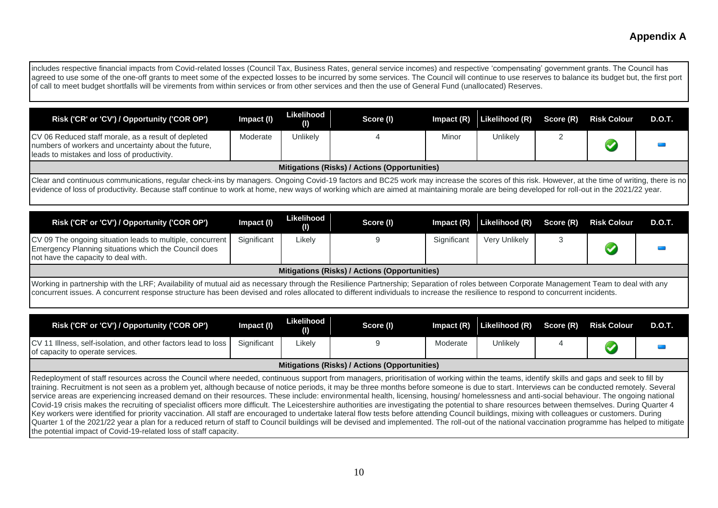| includes respective financial impacts from Covid-related losses (Council Tax, Business Rates, general service incomes) and respective 'compensating' government grants. The Council has<br>agreed to use some of the one-off grants to meet some of the expected losses to be incurred by some services. The Council will continue to use reserves to balance its budget but, the first port<br>of call to meet budget shortfalls will be virements from within services or from other services and then the use of General Fund (unallocated) Reserves.                                                                                                                                                                                                                                                                                                                                                                                                                                                                                                                                                                                                                                                                                                                   |             |                   |                                                      |             |                |           |                      |               |
|----------------------------------------------------------------------------------------------------------------------------------------------------------------------------------------------------------------------------------------------------------------------------------------------------------------------------------------------------------------------------------------------------------------------------------------------------------------------------------------------------------------------------------------------------------------------------------------------------------------------------------------------------------------------------------------------------------------------------------------------------------------------------------------------------------------------------------------------------------------------------------------------------------------------------------------------------------------------------------------------------------------------------------------------------------------------------------------------------------------------------------------------------------------------------------------------------------------------------------------------------------------------------|-------------|-------------------|------------------------------------------------------|-------------|----------------|-----------|----------------------|---------------|
| Risk ('CR' or 'CV') / Opportunity ('COR OP')                                                                                                                                                                                                                                                                                                                                                                                                                                                                                                                                                                                                                                                                                                                                                                                                                                                                                                                                                                                                                                                                                                                                                                                                                               | Impact (I)  | Likelihood<br>(I) | Score (I)                                            | Impact (R)  | Likelihood (R) | Score (R) | <b>Risk Colour</b>   | <b>D.O.T.</b> |
| CV 06 Reduced staff morale, as a result of depleted<br>numbers of workers and uncertainty about the future,<br>leads to mistakes and loss of productivity.                                                                                                                                                                                                                                                                                                                                                                                                                                                                                                                                                                                                                                                                                                                                                                                                                                                                                                                                                                                                                                                                                                                 | Moderate    | Unlikely          | Δ                                                    | Minor       | Unlikely       | 2         |                      |               |
|                                                                                                                                                                                                                                                                                                                                                                                                                                                                                                                                                                                                                                                                                                                                                                                                                                                                                                                                                                                                                                                                                                                                                                                                                                                                            |             |                   | <b>Mitigations (Risks) / Actions (Opportunities)</b> |             |                |           |                      |               |
| Clear and continuous communications, regular check-ins by managers. Ongoing Covid-19 factors and BC25 work may increase the scores of this risk. However, at the time of writing, there is no<br>evidence of loss of productivity. Because staff continue to work at home, new ways of working which are aimed at maintaining morale are being developed for roll-out in the 2021/22 year.                                                                                                                                                                                                                                                                                                                                                                                                                                                                                                                                                                                                                                                                                                                                                                                                                                                                                 |             |                   |                                                      |             |                |           |                      |               |
| Risk ('CR' or 'CV') / Opportunity ('COR OP')                                                                                                                                                                                                                                                                                                                                                                                                                                                                                                                                                                                                                                                                                                                                                                                                                                                                                                                                                                                                                                                                                                                                                                                                                               | Impact (I)  | Likelihood<br>(1) | Score (I)                                            | Impact (R)  | Likelihood (R) | Score (R) | <b>Risk Colour</b>   | <b>D.O.T.</b> |
| CV 09 The ongoing situation leads to multiple, concurrent<br>Emergency Planning situations which the Council does<br>not have the capacity to deal with.                                                                                                                                                                                                                                                                                                                                                                                                                                                                                                                                                                                                                                                                                                                                                                                                                                                                                                                                                                                                                                                                                                                   | Significant | Likely            | 9                                                    | Significant | Very Unlikely  | 3         |                      |               |
| Mitigations (Risks) / Actions (Opportunities)                                                                                                                                                                                                                                                                                                                                                                                                                                                                                                                                                                                                                                                                                                                                                                                                                                                                                                                                                                                                                                                                                                                                                                                                                              |             |                   |                                                      |             |                |           |                      |               |
| Working in partnership with the LRF; Availability of mutual aid as necessary through the Resilience Partnership; Separation of roles between Corporate Management Team to deal with any<br>concurrent issues. A concurrent response structure has been devised and roles allocated to different individuals to increase the resilience to respond to concurrent incidents.                                                                                                                                                                                                                                                                                                                                                                                                                                                                                                                                                                                                                                                                                                                                                                                                                                                                                                 |             |                   |                                                      |             |                |           |                      |               |
| Risk ('CR' or 'CV') / Opportunity ('COR OP')                                                                                                                                                                                                                                                                                                                                                                                                                                                                                                                                                                                                                                                                                                                                                                                                                                                                                                                                                                                                                                                                                                                                                                                                                               | Impact (I)  | Likelihood<br>(1) | Score (I)                                            | Impact (R)  | Likelihood (R) | Score (R) | <b>Risk Colour</b>   | <b>D.O.T.</b> |
| CV 11 Illness, self-isolation, and other factors lead to loss<br>of capacity to operate services.                                                                                                                                                                                                                                                                                                                                                                                                                                                                                                                                                                                                                                                                                                                                                                                                                                                                                                                                                                                                                                                                                                                                                                          | Significant | Likely            | 9                                                    | Moderate    | Unlikely       | 4         | $\blacktriangledown$ |               |
| Mitigations (Risks) / Actions (Opportunities)                                                                                                                                                                                                                                                                                                                                                                                                                                                                                                                                                                                                                                                                                                                                                                                                                                                                                                                                                                                                                                                                                                                                                                                                                              |             |                   |                                                      |             |                |           |                      |               |
| Redeployment of staff resources across the Council where needed, continuous support from managers, prioritisation of working within the teams, identify skills and gaps and seek to fill by<br>training. Recruitment is not seen as a problem yet, although because of notice periods, it may be three months before someone is due to start. Interviews can be conducted remotely. Several<br>service areas are experiencing increased demand on their resources. These include: environmental health, licensing, housing/ homelessness and anti-social behaviour. The ongoing national<br>Covid-19 crisis makes the recruiting of specialist officers more difficult. The Leicestershire authorities are investigating the potential to share resources between themselves. During Quarter 4<br>Key workers were identified for priority vaccination. All staff are encouraged to undertake lateral flow tests before attending Council buildings, mixing with colleagues or customers. During<br>Quarter 1 of the 2021/22 year a plan for a reduced return of staff to Council buildings will be devised and implemented. The roll-out of the national vaccination programme has helped to mitigate<br>the potential impact of Covid-19-related loss of staff capacity. |             |                   |                                                      |             |                |           |                      |               |